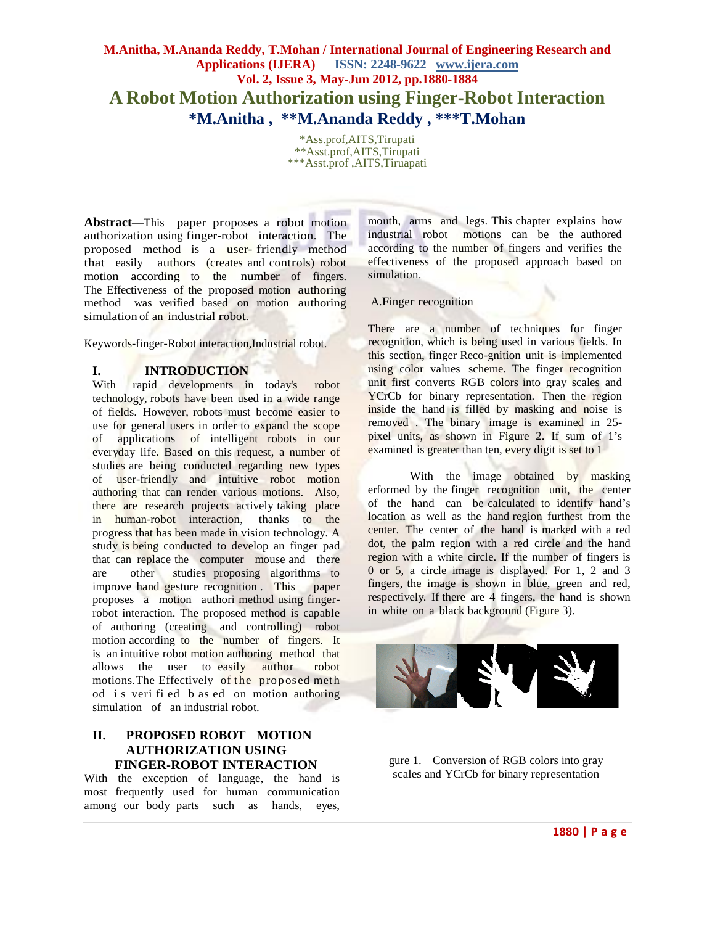# **M.Anitha, M.Ananda Reddy, T.Mohan / International Journal of Engineering Research and Applications (IJERA) ISSN: 2248-9622 www.ijera.com Vol. 2, Issue 3, May-Jun 2012, pp.1880-1884 A Robot Motion Authorization using Finger-Robot Interaction \*M.Anitha , \*\*M.Ananda Reddy , \*\*\*T.Mohan**

\*Ass.prof,AITS,Tirupati \*\*Asst.prof,AITS,Tirupati \*\*\*Asst.prof ,AITS,Tiruapati

**Abstract**—This paper proposes a robot motion authorization using finger-robot interaction. The proposed method is a user- friendly method that easily authors (creates and controls) robot motion according to the number of fingers. The Effectiveness of the proposed motion authoring method was verified based on motion authoring simulation of an industrial robot.

Keywords-finger-Robot interaction,Industrial robot.

### **I. INTRODUCTION**

With rapid developments in today's robot technology, robots have been used in a wide range of fields. However, robots must become easier to use for general users in order to expand the scope of applications of intelligent robots in our everyday life. Based on this request, a number of studies are being conducted regarding new types of user-friendly and intuitive robot motion authoring that can render various motions. Also, there are research projects actively taking place in human-robot interaction, thanks to the progress that has been made in vision technology. A study is being conducted to develop an finger pad that can replace the computer mouse and there are other studies proposing algorithms to improve hand gesture recognition . This paper proposes a motion authori method using fingerrobot interaction. The proposed method is capable of authoring (creating and controlling) robot motion according to the number of fingers. It is an intuitive robot motion authoring method that allows the user to easily author robot motions. The Effectively of the proposed meth od i s veri fi ed b as ed on motion authoring simulation of an industrial robot.

# **II. PROPOSED ROBOT MOTION AUTHORIZATION USING FINGER-ROBOT INTERACTION**

With the exception of language, the hand is most frequently used for human communication among our body parts such as hands, eyes, mouth, arms and legs. This chapter explains how industrial robot motions can be the authored according to the number of fingers and verifies the effectiveness of the proposed approach based on simulation.

A.Finger recognition

There are a number of techniques for finger recognition, which is being used in various fields. In this section, finger Reco-gnition unit is implemented using color values scheme. The finger recognition unit first converts RGB colors into gray scales and YCrCb for binary representation. Then the region inside the hand is filled by masking and noise is removed . The binary image is examined in 25 pixel units, as shown in Figure 2. If sum of 1's examined is greater than ten, every digit is set to 1

With the image obtained by masking erformed by the finger recognition unit, the center of the hand can be calculated to identify hand's location as well as the hand region furthest from the center. The center of the hand is marked with a red dot, the palm region with a red circle and the hand region with a white circle. If the number of fingers is 0 or 5, a circle image is displayed. For 1, 2 and 3 fingers, the image is shown in blue, green and red, respectively. If there are 4 fingers, the hand is shown in white on a black background (Figure 3).



gure 1. Conversion of RGB colors into gray scales and YCrCb for binary representation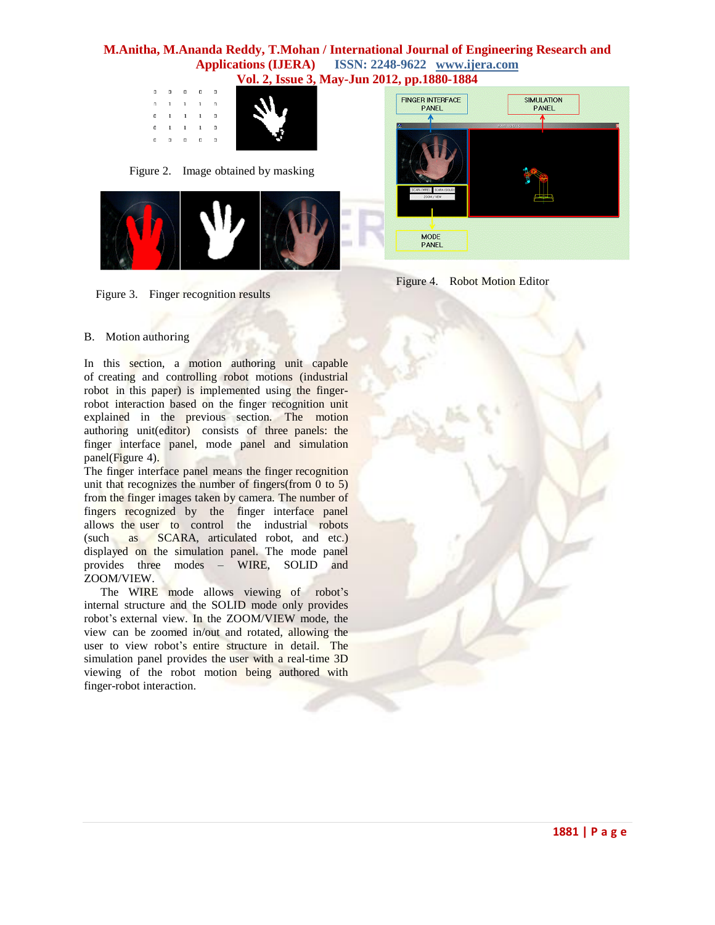| $\mathbf v$ or $\mathbf u$ , room, |             |            |                                                              |              |              |  |
|------------------------------------|-------------|------------|--------------------------------------------------------------|--------------|--------------|--|
|                                    | $\sim$ 0    |            | $\begin{array}{ccccccccccccccccc} 0 & 0 & 0 & 0 \end{array}$ |              | $\mathbf 0$  |  |
|                                    | $^{\circ}$  | 1          |                                                              | $1 \quad 1$  | 0            |  |
|                                    | $\mathbf 0$ |            | $0 \t 1 \t 1 \t 1$                                           |              |              |  |
|                                    | $\mathbf 0$ |            | $1 \quad 1 \quad 1$                                          |              | $\mathbf{0}$ |  |
|                                    | $\Omega$    | $^{\circ}$ | $\mathbf{a}$                                                 | $\mathbf{G}$ | 0            |  |
|                                    |             |            |                                                              |              |              |  |

Figure 2. Image obtained by masking



**FINGER INTERFACE SIMULATION** PANEL PANEL MODE<br>PANEL



# B. Motion authoring

Figure 3. Finger recognition results

In this section, a motion authoring unit capable of creating and controlling robot motions (industrial robot in this paper) is implemented using the fingerrobot interaction based on the finger recognition unit explained in the previous section. The motion authoring unit(editor) consists of three panels: the finger interface panel, mode panel and simulation panel(Figure 4).

The finger interface panel means the finger recognition unit that recognizes the number of fingers(from  $(0, 5)$ ) from the finger images taken by camera. The number of fingers recognized by the finger interface panel allows the user to control the industrial robots (such as SCARA, articulated robot, and etc.) displayed on the simulation panel. The mode panel provides three modes – WIRE, SOLID and ZOOM/VIEW.

The WIRE mode allows viewing of robot's internal structure and the SOLID mode only provides robot's external view. In the ZOOM/VIEW mode, the view can be zoomed in/out and rotated, allowing the user to view robot's entire structure in detail. The simulation panel provides the user with a real-time 3D viewing of the robot motion being authored with finger-robot interaction.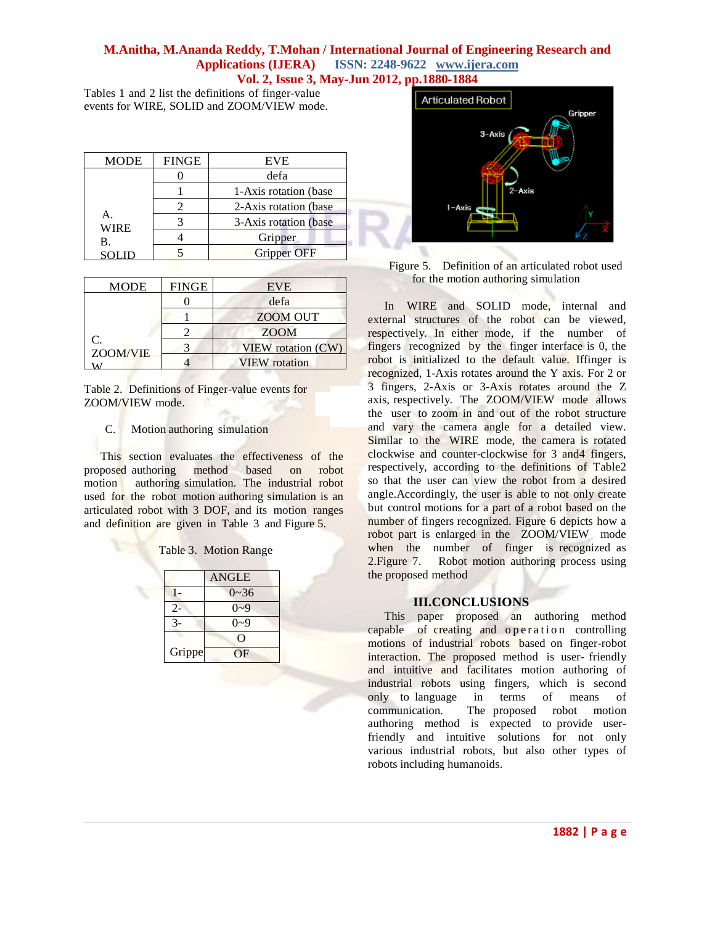Tables 1 and 2 list the definitions of finger-value events for WIRE, SOLID and ZOOM/VIEW mode.

| <b>MODE</b>       | <b>FINGE</b> | <b>EVE</b>             |
|-------------------|--------------|------------------------|
|                   |              | defa                   |
|                   |              | 1-Axis rotation (base) |
|                   |              | 2-Axis rotation (base  |
| А.<br><b>WIRE</b> |              | 3-Axis rotation (base  |
| В.                |              | Gripper                |
|                   |              | <b>Gripper OFF</b>     |

| <b>MODE</b>               | <b>FINGE</b> | <b>EVE</b>                |
|---------------------------|--------------|---------------------------|
|                           |              | defa                      |
|                           |              | <b>ZOOM OUT</b>           |
|                           |              | <b>ZOOM</b>               |
| $\mathcal{C}$<br>ZOOM/VIE |              | <b>VIEW</b> rotation (CW) |
|                           |              | <b>VIEW</b> rotation      |

 $\alpha$ 

Table 2. Definitions of Finger-value events for ZOOM/VIEW mode.

# C. Motion authoring simulation

This section evaluates the effectiveness of the proposed authoring method based on robot motion authoring simulation. The industrial robot used for the robot motion authoring simulation is an articulated robot with 3 DOF, and its motion ranges and definition are given in Table 3 and Figure 5.

|        | <b>ANGLE</b> |
|--------|--------------|
|        | $0 - 36$     |
| $2 -$  | $0 - 9$      |
|        | $0 - 9$      |
|        | 0            |
| Grippe | OF           |



| Figure 5. Definition of an articulated robot used |  |
|---------------------------------------------------|--|
| for the motion authoring simulation               |  |

In WIRE and SOLID mode, internal and external structures of the robot can be viewed, respectively. In either mode, if the number of fingers recognized by the finger interface is 0, the robot is initialized to the default value. Iffinger is recognized, 1-Axis rotates around the Y axis. For 2 or 3 fingers, 2-Axis or 3-Axis rotates around the Z axis, respectively. The ZOOM/VIEW mode allows the user to zoom in and out of the robot structure and vary the camera angle for a detailed view. Similar to the WIRE mode, the camera is rotated clockwise and counter-clockwise for 3 and4 fingers, respectively, according to the definitions of Table2 so that the user can view the robot from a desired angle.Accordingly, the user is able to not only create but control motions for a part of a robot based on the number of fingers recognized. Figure 6 depicts how a robot part is enlarged in the ZOOM/VIEW mode when the number of finger is recognized as 2.Figure 7. Robot motion authoring process using the proposed method

#### **III.CONCLUSIONS**

This paper proposed an authoring method capable of creating and operation controlling motions of industrial robots based on finger-robot interaction. The proposed method is user- friendly and intuitive and facilitates motion authoring of industrial robots using fingers, which is second only to language in terms of means of communication. The proposed robot motion authoring method is expected to provide userfriendly and intuitive solutions for not only various industrial robots, but also other types of robots including humanoids.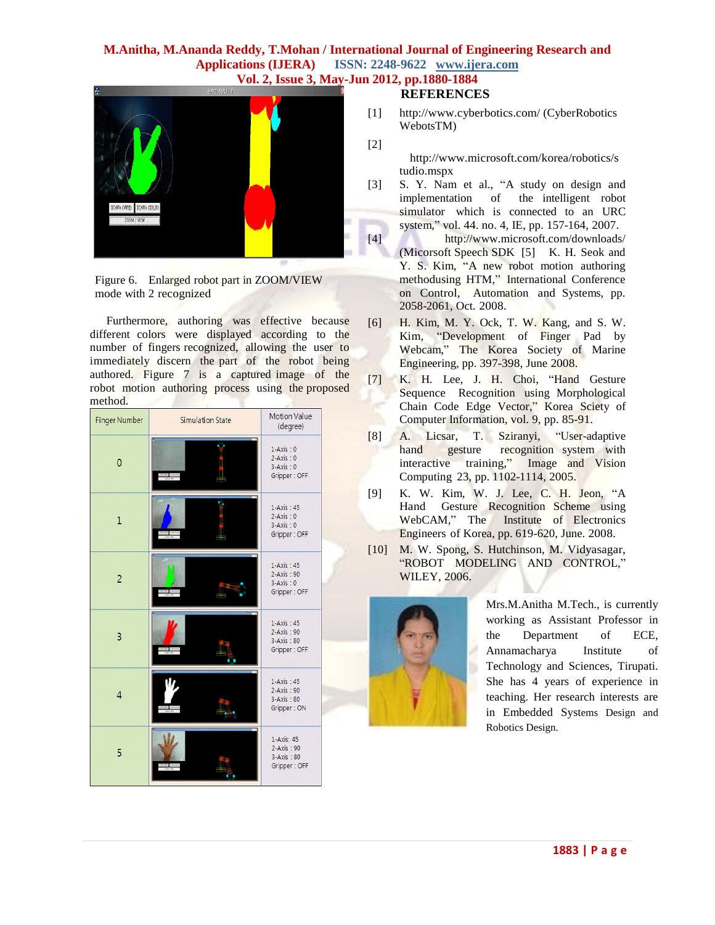

Figure 6. Enlarged robot part in ZOOM/VIEW mode with 2 recognized

Furthermore, authoring was effective because different colors were displayed according to the number of fingers recognized, allowing the user to immediately discern the part of the robot being authored. Figure 7 is a captured image of the robot motion authoring process using the proposed method.

| <b>Finger Number</b> | <b>Simulation State</b> | <b>Motion Value</b><br>(degree)                                 |
|----------------------|-------------------------|-----------------------------------------------------------------|
| 0                    |                         | $1-Axis:0$<br>$2-Axis:0$<br>$3-Axis:0$<br>Gripper: OFF          |
| $\overline{1}$       |                         | $1-Axis : 45$<br>$2-Axis:0$<br>$3-Axis:0$<br>Gripper: OFF       |
| $\overline{2}$       |                         | $1-Axis : 45$<br>$2-Axis : 90$<br>$3-Axis:0$<br>Gripper: OFF    |
| 3                    |                         | $1-Axis : 45$<br>$2-Axis : 90$<br>$3-Axis : 80$<br>Gripper: OFF |
| 4                    |                         | $1-Axis : 45$<br>$2-Axis : 90$<br>3-Axis: 80<br>Gripper: ON     |
| 5                    |                         | 1-Axis: 45<br>2-Axis: 90<br>3-Axis: 80<br>Gripper: OFF          |

#### **REFERENCES**

[1] <http://www.cyberbotics.com/> (CyberRobotics WebotsTM)

[2]

http://www.microsoft.com/korea/robotics/s tudio.mspx

[3] S. Y. Nam et al., "A study on design and implementation of the intelligent robot simulator which is connected to an URC system," vol. 44. no. 4, IE, pp. 157-164, 2007.

[4] <http://www.microsoft.com/downloads/> (Micorsoft Speech SDK [5] K. H. Seok and Y. S. Kim, "A new robot motion authoring methodusing HTM," International Conference on Control, Automation and Systems, pp. 2058-2061, Oct. 2008.

- [6] H. Kim, M. Y. Ock, T. W. Kang, and S. W. Kim, "Development of Finger Pad by Webcam," The Korea Society of Marine Engineering, pp. 397-398, June 2008.
- [7] K. H. Lee, J. H. Choi, "Hand Gesture Sequence Recognition using Morphological Chain Code Edge Vector," Korea Sciety of Computer Information, vol. 9, pp. 85-91.
- [8] A. Licsar, T. Sziranyi, "User-adaptive hand gesture recognition system with interactive training," Image and Vision Computing 23, pp. 1102-1114, 2005.
- [9] K. W. Kim, W. J. Lee, C. H. Jeon, "A Hand Gesture Recognition Scheme using WebCAM," The Institute of Electronics Engineers of Korea, pp. 619-620, June. 2008.
- [10] M. W. Spong, S. Hutchinson, M. Vidyasagar, "ROBOT MODELING AND CONTROL," WILEY, 2006.



Mrs.M.Anitha M.Tech., is currently working as Assistant Professor in the Department of ECE, Annamacharya Institute of Technology and Sciences, Tirupati. She has 4 years of experience in teaching. Her research interests are in Embedded Systems Design and Robotics Design.